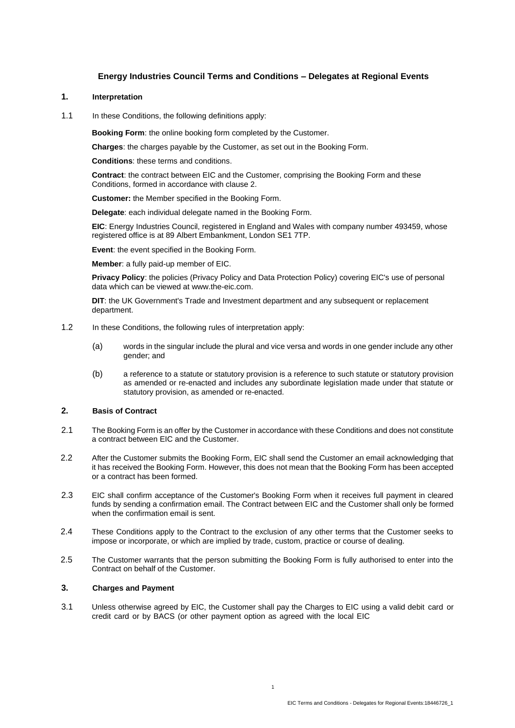# **Energy Industries Council Terms and Conditions – Delegates at Regional Events**

#### **1. Interpretation**

1.1 In these Conditions, the following definitions apply:

**Booking Form**: the online booking form completed by the Customer.

**Charges**: the charges payable by the Customer, as set out in the Booking Form.

**Conditions**: these terms and conditions.

**Contract**: the contract between EIC and the Customer, comprising the Booking Form and these Conditions, formed in accordance with clause 2.

**Customer:** the Member specified in the Booking Form.

**Delegate**: each individual delegate named in the Booking Form.

**EIC**: Energy Industries Council, registered in England and Wales with company number 493459, whose registered office is at 89 Albert Embankment, London SE1 7TP.

**Event**: the event specified in the Booking Form.

**Member**: a fully paid-up member of EIC.

**Privacy Policy**: the policies (Privacy Policy and Data Protection Policy) covering EIC's use of personal data which can be viewed at [www.the-eic.com.](http://www.the-eic.com/)

**DIT**: the UK Government's Trade and Investment department and any subsequent or replacement department.

- 1.2 In these Conditions, the following rules of interpretation apply:
	- (a) words in the singular include the plural and vice versa and words in one gender include any other gender; and
	- (b) a reference to a statute or statutory provision is a reference to such statute or statutory provision as amended or re-enacted and includes any subordinate legislation made under that statute or statutory provision, as amended or re-enacted.

#### **2. Basis of Contract**

- 2.1 The Booking Form is an offer by the Customer in accordance with these Conditions and does not constitute a contract between EIC and the Customer.
- 2.2 After the Customer submits the Booking Form, EIC shall send the Customer an email acknowledging that it has received the Booking Form. However, this does not mean that the Booking Form has been accepted or a contract has been formed.
- 2.3 EIC shall confirm acceptance of the Customer's Booking Form when it receives full payment in cleared funds by sending a confirmation email. The Contract between EIC and the Customer shall only be formed when the confirmation email is sent.
- 2.4 These Conditions apply to the Contract to the exclusion of any other terms that the Customer seeks to impose or incorporate, or which are implied by trade, custom, practice or course of dealing.
- 2.5 The Customer warrants that the person submitting the Booking Form is fully authorised to enter into the Contract on behalf of the Customer.

### **3. Charges and Payment**

3.1 Unless otherwise agreed by EIC, the Customer shall pay the Charges to EIC using a valid debit card or credit card or by BACS (or other payment option as agreed with the local EIC

1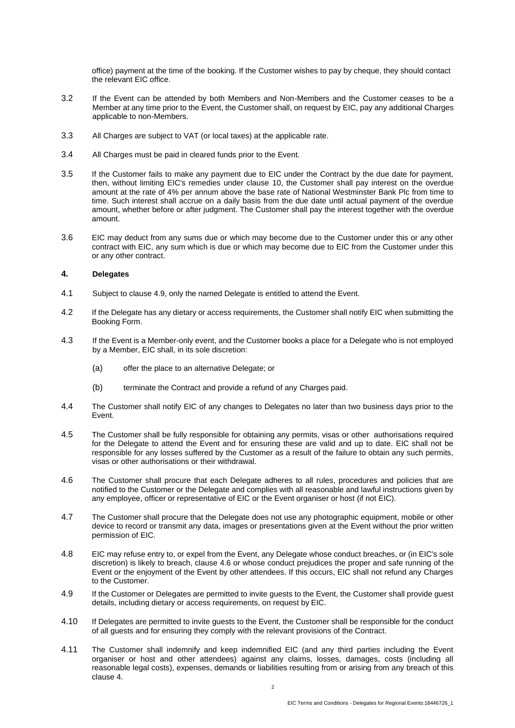office) payment at the time of the booking. If the Customer wishes to pay by cheque, they should contact the relevant EIC office.

- 3.2 If the Event can be attended by both Members and Non-Members and the Customer ceases to be a Member at any time prior to the Event, the Customer shall, on request by EIC, pay any additional Charges applicable to non-Members.
- 3.3 All Charges are subject to VAT (or local taxes) at the applicable rate.
- 3.4 All Charges must be paid in cleared funds prior to the Event.
- 3.5 If the Customer fails to make any payment due to EIC under the Contract by the due date for payment, then, without limiting EIC's remedies under clause [10,](#page-3-0) the Customer shall pay interest on the overdue amount at the rate of 4% per annum above the base rate of National Westminster Bank Plc from time to time. Such interest shall accrue on a daily basis from the due date until actual payment of the overdue amount, whether before or after judgment. The Customer shall pay the interest together with the overdue amount.
- 3.6 EIC may deduct from any sums due or which may become due to the Customer under this or any other contract with EIC, any sum which is due or which may become due to EIC from the Customer under this or any other contract.

### <span id="page-1-2"></span>**4. Delegates**

- 4.1 Subject to clause [4.9, o](#page-1-0)nly the named Delegate is entitled to attend the Event.
- 4.2 If the Delegate has any dietary or access requirements, the Customer shall notify EIC when submitting the Booking Form.
- 4.3 If the Event is a Member-only event, and the Customer books a place for a Delegate who is not employed by a Member, EIC shall, in its sole discretion:
	- (a) offer the place to an alternative Delegate; or
	- (b) terminate the Contract and provide a refund of any Charges paid.
- 4.4 The Customer shall notify EIC of any changes to Delegates no later than two business days prior to the Event.
- 4.5 The Customer shall be fully responsible for obtaining any permits, visas or other authorisations required for the Delegate to attend the Event and for ensuring these are valid and up to date. EIC shall not be responsible for any losses suffered by the Customer as a result of the failure to obtain any such permits, visas or other authorisations or their withdrawal.
- <span id="page-1-1"></span>4.6 The Customer shall procure that each Delegate adheres to all rules, procedures and policies that are notified to the Customer or the Delegate and complies with all reasonable and lawful instructions given by any employee, officer or representative of EIC or the Event organiser or host (if not EIC).
- 4.7 The Customer shall procure that the Delegate does not use any photographic equipment, mobile or other device to record or transmit any data, images or presentations given at the Event without the prior written permission of EIC.
- 4.8 EIC may refuse entry to, or expel from the Event, any Delegate whose conduct breaches, or (in EIC's sole discretion) is likely to breach, clause [4.6 o](#page-1-1)r whose conduct prejudices the proper and safe running of the Event or the enjoyment of the Event by other attendees. If this occurs, EIC shall not refund any Charges to the Customer.
- <span id="page-1-0"></span>4.9 If the Customer or Delegates are permitted to invite guests to the Event, the Customer shall provide guest details, including dietary or access requirements, on request by EIC.
- 4.10 If Delegates are permitted to invite guests to the Event, the Customer shall be responsible for the conduct of all guests and for ensuring they comply with the relevant provisions of the Contract.
- <span id="page-1-3"></span>4.11 The Customer shall indemnify and keep indemnified EIC (and any third parties including the Event organiser or host and other attendees) against any claims, losses, damages, costs (including all reasonable legal costs), expenses, demands or liabilities resulting from or arising from any breach of this clause [4.](#page-1-2)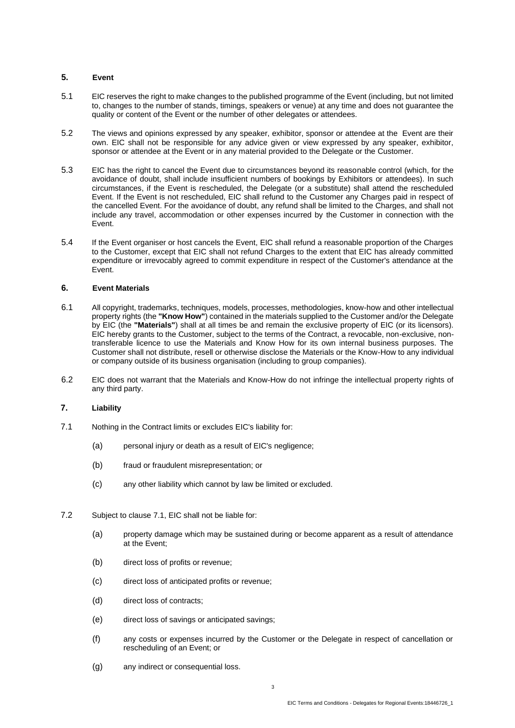# **5. Event**

- 5.1 EIC reserves the right to make changes to the published programme of the Event (including, but not limited to, changes to the number of stands, timings, speakers or venue) at any time and does not guarantee the quality or content of the Event or the number of other delegates or attendees.
- 5.2 The views and opinions expressed by any speaker, exhibitor, sponsor or attendee at the Event are their own. EIC shall not be responsible for any advice given or view expressed by any speaker, exhibitor, sponsor or attendee at the Event or in any material provided to the Delegate or the Customer.
- 5.3 EIC has the right to cancel the Event due to circumstances beyond its reasonable control (which, for the avoidance of doubt, shall include insufficient numbers of bookings by Exhibitors or attendees). In such circumstances, if the Event is rescheduled, the Delegate (or a substitute) shall attend the rescheduled Event. If the Event is not rescheduled, EIC shall refund to the Customer any Charges paid in respect of the cancelled Event. For the avoidance of doubt, any refund shall be limited to the Charges, and shall not include any travel, accommodation or other expenses incurred by the Customer in connection with the Event.
- 5.4 If the Event organiser or host cancels the Event, EIC shall refund a reasonable proportion of the Charges to the Customer, except that EIC shall not refund Charges to the extent that EIC has already committed expenditure or irrevocably agreed to commit expenditure in respect of the Customer's attendance at the Event.

# **6. Event Materials**

- <span id="page-2-1"></span>6.1 All copyright, trademarks, techniques, models, processes, methodologies, know-how and other intellectual property rights (the **"Know How"**) contained in the materials supplied to the Customer and/or the Delegate by EIC (the **"Materials"**) shall at all times be and remain the exclusive property of EIC (or its licensors). EIC hereby grants to the Customer, subject to the terms of the Contract, a revocable, non-exclusive, nontransferable licence to use the Materials and Know How for its own internal business purposes. The Customer shall not distribute, resell or otherwise disclose the Materials or the Know-How to any individual or company outside of its business organisation (including to group companies).
- 6.2 EIC does not warrant that the Materials and Know-How do not infringe the intellectual property rights of any third party.

# <span id="page-2-2"></span>**7. Liability**

- <span id="page-2-0"></span>7.1 Nothing in the Contract limits or excludes EIC's liability for:
	- (a) personal injury or death as a result of EIC's negligence;
	- (b) fraud or fraudulent misrepresentation; or
	- (c) any other liability which cannot by law be limited or excluded.
- 7.2 Subject to clause [7.1, E](#page-2-0)IC shall not be liable for:
	- (a) property damage which may be sustained during or become apparent as a result of attendance at the Event;
	- (b) direct loss of profits or revenue;
	- (c) direct loss of anticipated profits or revenue;
	- (d) direct loss of contracts;
	- (e) direct loss of savings or anticipated savings;
	- (f) any costs or expenses incurred by the Customer or the Delegate in respect of cancellation or rescheduling of an Event; or
	- (g) any indirect or consequential loss.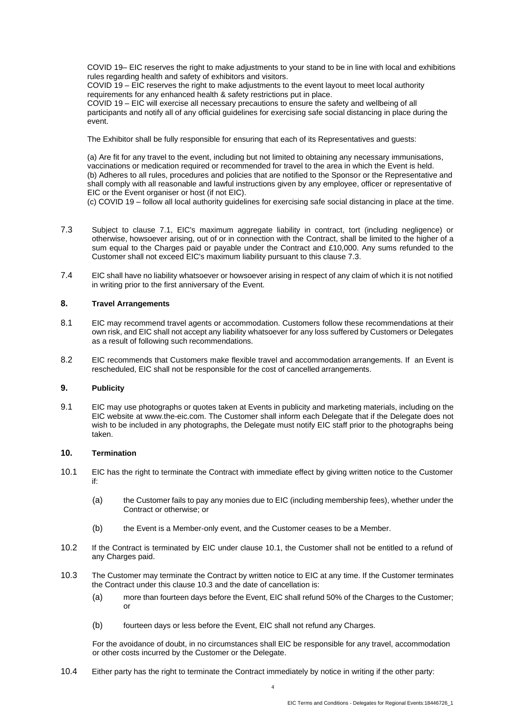COVID 19– EIC reserves the right to make adjustments to your stand to be in line with local and exhibitions rules regarding health and safety of exhibitors and visitors.

COVID 19 – EIC reserves the right to make adjustments to the event layout to meet local authority requirements for any enhanced health & safety restrictions put in place.

COVID 19 – EIC will exercise all necessary precautions to ensure the safety and wellbeing of all participants and notify all of any official guidelines for exercising safe social distancing in place during the event.

The Exhibitor shall be fully responsible for ensuring that each of its Representatives and guests:

(a) Are fit for any travel to the event, including but not limited to obtaining any necessary immunisations, vaccinations or medication required or recommended for travel to the area in which the Event is held. (b) Adheres to all rules, procedures and policies that are notified to the Sponsor or the Representative and shall comply with all reasonable and lawful instructions given by any employee, officer or representative of EIC or the Event organiser or host (if not EIC).

(c) COVID 19 – follow all local authority guidelines for exercising safe social distancing in place at the time.

- <span id="page-3-1"></span>7.3 Subject to clause [7.1, E](#page-2-0)IC's maximum aggregate liability in contract, tort (including negligence) or otherwise, howsoever arising, out of or in connection with the Contract, shall be limited to the higher of a sum equal to the Charges paid or payable under the Contract and £10,000. Any sums refunded to the Customer shall not exceed EIC's maximum liability pursuant to this clause [7.3.](#page-3-1)
- 7.4 EIC shall have no liability whatsoever or howsoever arising in respect of any claim of which it is not notified in writing prior to the first anniversary of the Event.

# **8. Travel Arrangements**

- 8.1 EIC may recommend travel agents or accommodation. Customers follow these recommendations at their own risk, and EIC shall not accept any liability whatsoever for any loss suffered by Customers or Delegates as a result of following such recommendations.
- 8.2 EIC recommends that Customers make flexible travel and accommodation arrangements. If an Event is rescheduled, EIC shall not be responsible for the cost of cancelled arrangements.

# <span id="page-3-3"></span>**9. Publicity**

9.1 EIC may use photographs or quotes taken at Events in publicity and marketing materials, including on the EIC website at [www.the-eic.com.](http://www.the-eic.com/) The Customer shall inform each Delegate that if the Delegate does not wish to be included in any photographs, the Delegate must notify EIC staff prior to the photographs being taken.

#### <span id="page-3-0"></span>**10. Termination**

- 10.1 EIC has the right to terminate the Contract with immediate effect by giving written notice to the Customer if:
	- (a) the Customer fails to pay any monies due to EIC (including membership fees), whether under the Contract or otherwise; or
	- (b) the Event is a Member-only event, and the Customer ceases to be a Member.
- 10.2 If the Contract is terminated by EIC under clause 10.1, the Customer shall not be entitled to a refund of any Charges paid.
- <span id="page-3-2"></span>10.3 The Customer may terminate the Contract by written notice to EIC at any time. If the Customer terminates the Contract under this clause [10.3 a](#page-3-2)nd the date of cancellation is:
	- (a) more than fourteen days before the Event, EIC shall refund 50% of the Charges to the Customer; or
	- (b) fourteen days or less before the Event, EIC shall not refund any Charges.

For the avoidance of doubt, in no circumstances shall EIC be responsible for any travel, accommodation or other costs incurred by the Customer or the Delegate.

10.4 Either party has the right to terminate the Contract immediately by notice in writing if the other party: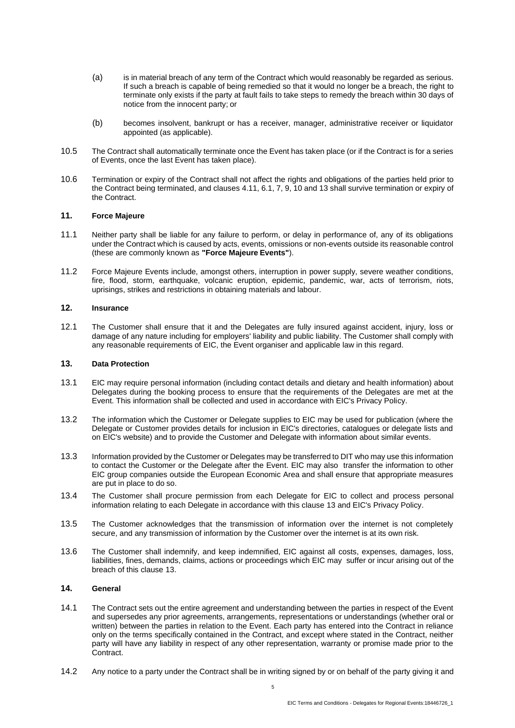- (a) is in material breach of any term of the Contract which would reasonably be regarded as serious. If such a breach is capable of being remedied so that it would no longer be a breach, the right to terminate only exists if the party at fault fails to take steps to remedy the breach within 30 days of notice from the innocent party; or
- (b) becomes insolvent, bankrupt or has a receiver, manager, administrative receiver or liquidator appointed (as applicable).
- 10.5 The Contract shall automatically terminate once the Event has taken place (or if the Contract is for a series of Events, once the last Event has taken place).
- 10.6 Termination or expiry of the Contract shall not affect the rights and obligations of the parties held prior to the Contract being terminated, and clauses [4.11,](#page-1-3) [6.1,](#page-2-1) [7,](#page-2-2) [9,](#page-3-3) [10 a](#page-3-0)n[d 13 s](#page-4-0)hall survive termination or expiry of the Contract.

# **11. Force Majeure**

- 11.1 Neither party shall be liable for any failure to perform, or delay in performance of, any of its obligations under the Contract which is caused by acts, events, omissions or non-events outside its reasonable control (these are commonly known as **"Force Majeure Events"**).
- 11.2 Force Majeure Events include, amongst others, interruption in power supply, severe weather conditions, fire, flood, storm, earthquake, volcanic eruption, epidemic, pandemic, war, acts of terrorism, riots, uprisings, strikes and restrictions in obtaining materials and labour.

#### **12. Insurance**

12.1 The Customer shall ensure that it and the Delegates are fully insured against accident, injury, loss or damage of any nature including for employers' liability and public liability. The Customer shall comply with any reasonable requirements of EIC, the Event organiser and applicable law in this regard.

#### <span id="page-4-0"></span>**13. Data Protection**

- 13.1 EIC may require personal information (including contact details and dietary and health information) about Delegates during the booking process to ensure that the requirements of the Delegates are met at the Event. This information shall be collected and used in accordance with EIC's Privacy Policy.
- 13.2 The information which the Customer or Delegate supplies to EIC may be used for publication (where the Delegate or Customer provides details for inclusion in EIC's directories, catalogues or delegate lists and on EIC's website) and to provide the Customer and Delegate with information about similar events.
- 13.3 Information provided by the Customer or Delegates may be transferred to DIT who may use this information to contact the Customer or the Delegate after the Event. EIC may also transfer the information to other EIC group companies outside the European Economic Area and shall ensure that appropriate measures are put in place to do so.
- 13.4 The Customer shall procure permission from each Delegate for EIC to collect and process personal information relating to each Delegate in accordance with this clause [13](#page-4-0) and EIC's Privacy Policy.
- 13.5 The Customer acknowledges that the transmission of information over the internet is not completely secure, and any transmission of information by the Customer over the internet is at its own risk.
- 13.6 The Customer shall indemnify, and keep indemnified, EIC against all costs, expenses, damages, loss, liabilities, fines, demands, claims, actions or proceedings which EIC may suffer or incur arising out of the breach of this clause 13.

### **14. General**

- 14.1 The Contract sets out the entire agreement and understanding between the parties in respect of the Event and supersedes any prior agreements, arrangements, representations or understandings (whether oral or written) between the parties in relation to the Event. Each party has entered into the Contract in reliance only on the terms specifically contained in the Contract, and except where stated in the Contract, neither party will have any liability in respect of any other representation, warranty or promise made prior to the Contract.
- <span id="page-4-1"></span>14.2 Any notice to a party under the Contract shall be in writing signed by or on behalf of the party giving it and